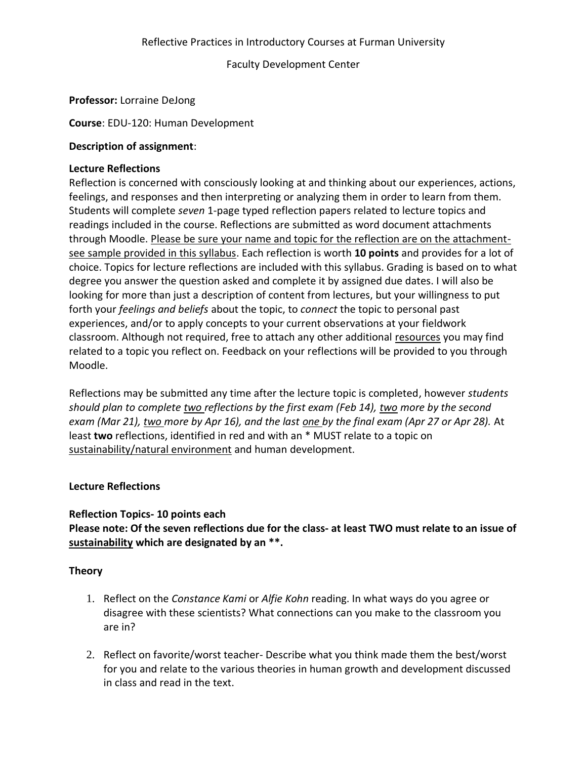Faculty Development Center

# **Professor:** Lorraine DeJong

**Course**: EDU-120: Human Development

## **Description of assignment**:

## **Lecture Reflections**

Reflection is concerned with consciously looking at and thinking about our experiences, actions, feelings, and responses and then interpreting or analyzing them in order to learn from them. Students will complete *seven* 1-page typed reflection papers related to lecture topics and readings included in the course. Reflections are submitted as word document attachments through Moodle. Please be sure your name and topic for the reflection are on the attachmentsee sample provided in this syllabus. Each reflection is worth **10 points** and provides for a lot of choice. Topics for lecture reflections are included with this syllabus. Grading is based on to what degree you answer the question asked and complete it by assigned due dates. I will also be looking for more than just a description of content from lectures, but your willingness to put forth your *feelings and beliefs* about the topic, to *connect* the topic to personal past experiences, and/or to apply concepts to your current observations at your fieldwork classroom. Although not required, free to attach any other additional resources you may find related to a topic you reflect on. Feedback on your reflections will be provided to you through Moodle.

Reflections may be submitted any time after the lecture topic is completed, however *students should plan to complete two reflections by the first exam (Feb 14), two more by the second exam (Mar 21), two more by Apr 16), and the last one by the final exam (Apr 27 or Apr 28).* At least **two** reflections, identified in red and with an \* MUST relate to a topic on sustainability/natural environment and human development.

# **Lecture Reflections**

### **Reflection Topics- 10 points each**

**Please note: Of the seven reflections due for the class- at least TWO must relate to an issue of sustainability which are designated by an \*\*.** 

# **Theory**

- 1. Reflect on the *Constance Kami* or *Alfie Kohn* reading. In what ways do you agree or disagree with these scientists? What connections can you make to the classroom you are in?
- 2. Reflect on favorite/worst teacher- Describe what you think made them the best/worst for you and relate to the various theories in human growth and development discussed in class and read in the text.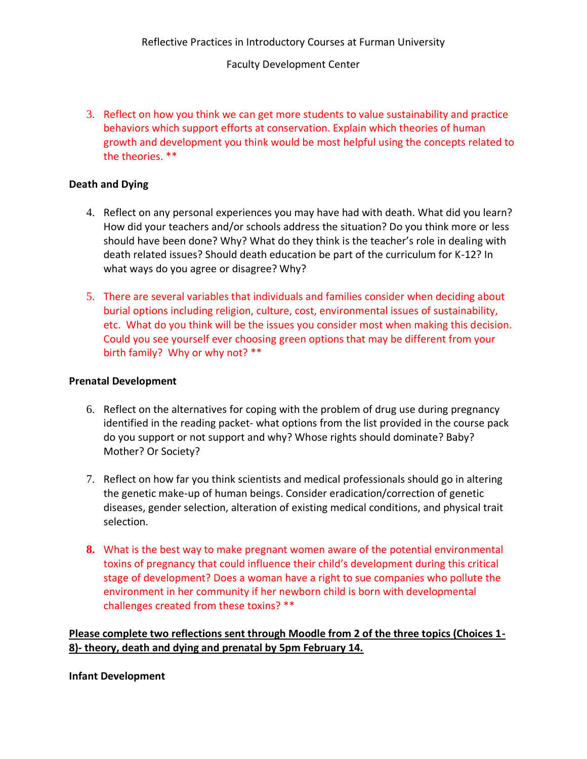#### Faculty Development Center

3. Reflect on how you think we can get more students to value sustainability and practice behaviors which support efforts at conservation. Explain which theories of human growth and development you think would be most helpful using the concepts related to the theories. \*\*

#### **Death and Dying**

- 4. Reflect on any personal experiences you may have had with death. What did you learn? How did your teachers and/or schools address the situation? Do you think more or less should have been done? Why? What do they think is the teacher's role in dealing with death related issues? Should death education be part of the curriculum for K-12? In what ways do you agree or disagree? Why?
- 5. There are several variables that individuals and families consider when deciding about burial options including religion, culture, cost, environmental issues of sustainability, etc. What do you think will be the issues you consider most when making this decision. Could you see yourself ever choosing green options that may be different from your birth family? Why or why not? \*\*

#### **Prenatal Development**

- 6. Reflect on the alternatives for coping with the problem of drug use during pregnancy identified in the reading packet- what options from the list provided in the course pack do you support or not support and why? Whose rights should dominate? Baby? Mother? Or Society?
- 7. Reflect on how far you think scientists and medical professionals should go in altering the genetic make-up of human beings. Consider eradication/correction of genetic diseases, gender selection, alteration of existing medical conditions, and physical trait selection.
- **8.** What is the best way to make pregnant women aware of the potential environmental toxins of pregnancy that could influence their child's development during this critical stage of development? Does a woman have a right to sue companies who pollute the environment in her community if her newborn child is born with developmental challenges created from these toxins? \*\*

**Please complete two reflections sent through Moodle from 2 of the three topics (Choices 1- 8)- theory, death and dying and prenatal by 5pm February 14.**

#### **Infant Development**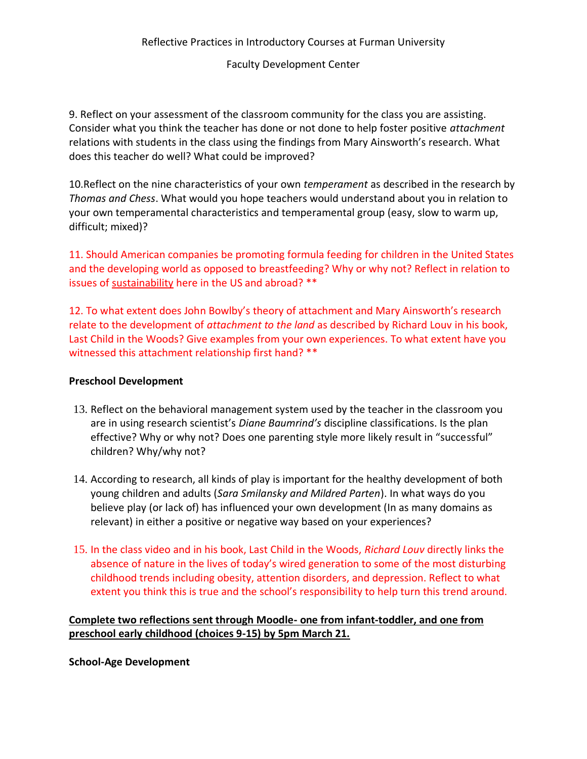### Faculty Development Center

9. Reflect on your assessment of the classroom community for the class you are assisting. Consider what you think the teacher has done or not done to help foster positive *attachment*  relations with students in the class using the findings from Mary Ainsworth's research. What does this teacher do well? What could be improved?

10.Reflect on the nine characteristics of your own *temperament* as described in the research by *Thomas and Chess*. What would you hope teachers would understand about you in relation to your own temperamental characteristics and temperamental group (easy, slow to warm up, difficult; mixed)?

11. Should American companies be promoting formula feeding for children in the United States and the developing world as opposed to breastfeeding? Why or why not? Reflect in relation to issues of sustainability here in the US and abroad? \*\*

12. To what extent does John Bowlby's theory of attachment and Mary Ainsworth's research relate to the development of *attachment to the land* as described by Richard Louv in his book, Last Child in the Woods? Give examples from your own experiences. To what extent have you witnessed this attachment relationship first hand? \*\*

### **Preschool Development**

- 13. Reflect on the behavioral management system used by the teacher in the classroom you are in using research scientist's *Diane Baumrind's* discipline classifications. Is the plan effective? Why or why not? Does one parenting style more likely result in "successful" children? Why/why not?
- 14. According to research, all kinds of play is important for the healthy development of both young children and adults (*Sara Smilansky and Mildred Parten*). In what ways do you believe play (or lack of) has influenced your own development (In as many domains as relevant) in either a positive or negative way based on your experiences?
- 15. In the class video and in his book, Last Child in the Woods, *Richard Louv* directly links the absence of nature in the lives of today's wired generation to some of the most disturbing childhood trends including obesity, attention disorders, and depression. Reflect to what extent you think this is true and the school's responsibility to help turn this trend around.

# **Complete two reflections sent through Moodle- one from infant-toddler, and one from preschool early childhood (choices 9-15) by 5pm March 21.**

**School-Age Development**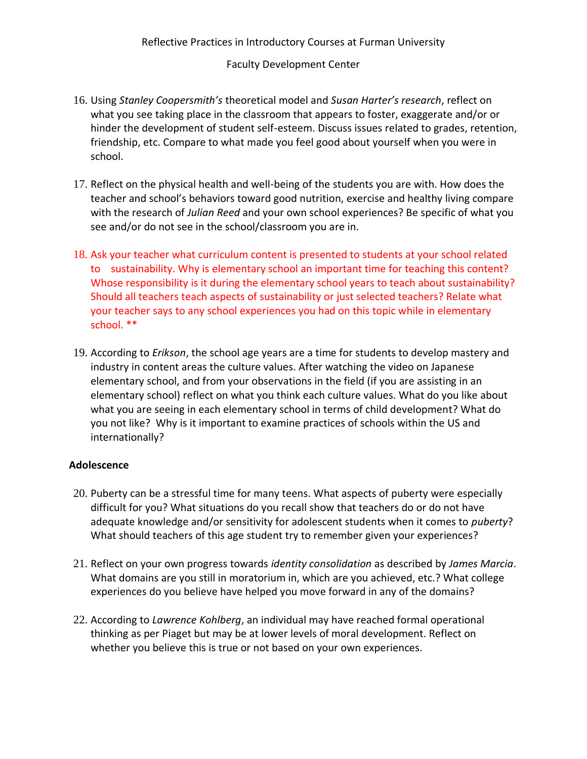## Reflective Practices in Introductory Courses at Furman University

#### Faculty Development Center

- 16. Using *Stanley Coopersmith's* theoretical model and *Susan Harter's research*, reflect on what you see taking place in the classroom that appears to foster, exaggerate and/or or hinder the development of student self-esteem. Discuss issues related to grades, retention, friendship, etc. Compare to what made you feel good about yourself when you were in school.
- 17. Reflect on the physical health and well-being of the students you are with. How does the teacher and school's behaviors toward good nutrition, exercise and healthy living compare with the research of *Julian Reed* and your own school experiences? Be specific of what you see and/or do not see in the school/classroom you are in.
- 18. Ask your teacher what curriculum content is presented to students at your school related to sustainability. Why is elementary school an important time for teaching this content? Whose responsibility is it during the elementary school years to teach about sustainability? Should all teachers teach aspects of sustainability or just selected teachers? Relate what your teacher says to any school experiences you had on this topic while in elementary school. \*\*
- 19. According to *Erikson*, the school age years are a time for students to develop mastery and industry in content areas the culture values. After watching the video on Japanese elementary school, and from your observations in the field (if you are assisting in an elementary school) reflect on what you think each culture values. What do you like about what you are seeing in each elementary school in terms of child development? What do you not like? Why is it important to examine practices of schools within the US and internationally?

### **Adolescence**

- 20. Puberty can be a stressful time for many teens. What aspects of puberty were especially difficult for you? What situations do you recall show that teachers do or do not have adequate knowledge and/or sensitivity for adolescent students when it comes to *puberty*? What should teachers of this age student try to remember given your experiences?
- 21. Reflect on your own progress towards *identity consolidation* as described by *James Marcia*. What domains are you still in moratorium in, which are you achieved, etc.? What college experiences do you believe have helped you move forward in any of the domains?
- 22. According to *Lawrence Kohlberg*, an individual may have reached formal operational thinking as per Piaget but may be at lower levels of moral development. Reflect on whether you believe this is true or not based on your own experiences.